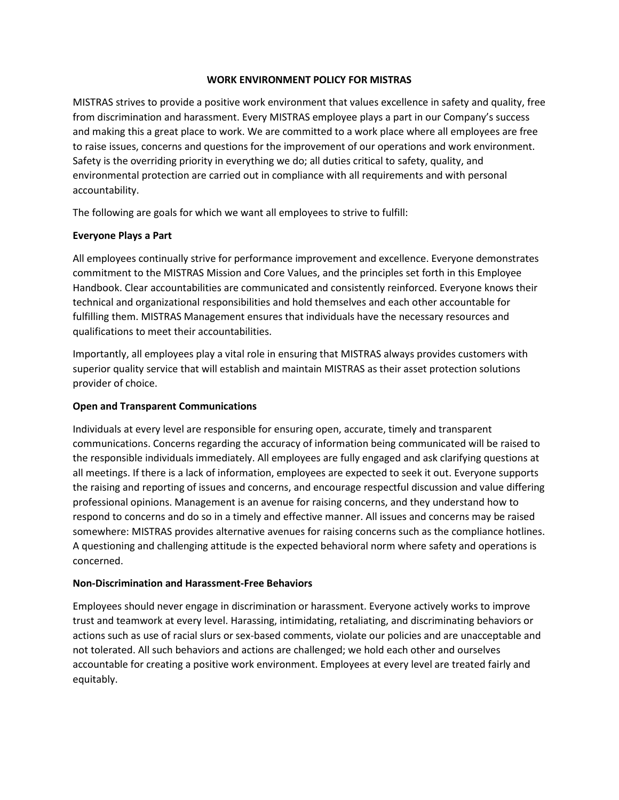### **WORK ENVIRONMENT POLICY FOR MISTRAS**

MISTRAS strives to provide a positive work environment that values excellence in safety and quality, free from discrimination and harassment. Every MISTRAS employee plays a part in our Company's success and making this a great place to work. We are committed to a work place where all employees are free to raise issues, concerns and questions for the improvement of our operations and work environment. Safety is the overriding priority in everything we do; all duties critical to safety, quality, and environmental protection are carried out in compliance with all requirements and with personal accountability.

The following are goals for which we want all employees to strive to fulfill:

# **Everyone Plays a Part**

All employees continually strive for performance improvement and excellence. Everyone demonstrates commitment to the MISTRAS Mission and Core Values, and the principles set forth in this Employee Handbook. Clear accountabilities are communicated and consistently reinforced. Everyone knows their technical and organizational responsibilities and hold themselves and each other accountable for fulfilling them. MISTRAS Management ensures that individuals have the necessary resources and qualifications to meet their accountabilities.

Importantly, all employees play a vital role in ensuring that MISTRAS always provides customers with superior quality service that will establish and maintain MISTRAS as their asset protection solutions provider of choice.

### **Open and Transparent Communications**

Individuals at every level are responsible for ensuring open, accurate, timely and transparent communications. Concerns regarding the accuracy of information being communicated will be raised to the responsible individuals immediately. All employees are fully engaged and ask clarifying questions at all meetings. If there is a lack of information, employees are expected to seek it out. Everyone supports the raising and reporting of issues and concerns, and encourage respectful discussion and value differing professional opinions. Management is an avenue for raising concerns, and they understand how to respond to concerns and do so in a timely and effective manner. All issues and concerns may be raised somewhere: MISTRAS provides alternative avenues for raising concerns such as the compliance hotlines. A questioning and challenging attitude is the expected behavioral norm where safety and operations is concerned.

### **Non-Discrimination and Harassment-Free Behaviors**

Employees should never engage in discrimination or harassment. Everyone actively works to improve trust and teamwork at every level. Harassing, intimidating, retaliating, and discriminating behaviors or actions such as use of racial slurs or sex-based comments, violate our policies and are unacceptable and not tolerated. All such behaviors and actions are challenged; we hold each other and ourselves accountable for creating a positive work environment. Employees at every level are treated fairly and equitably.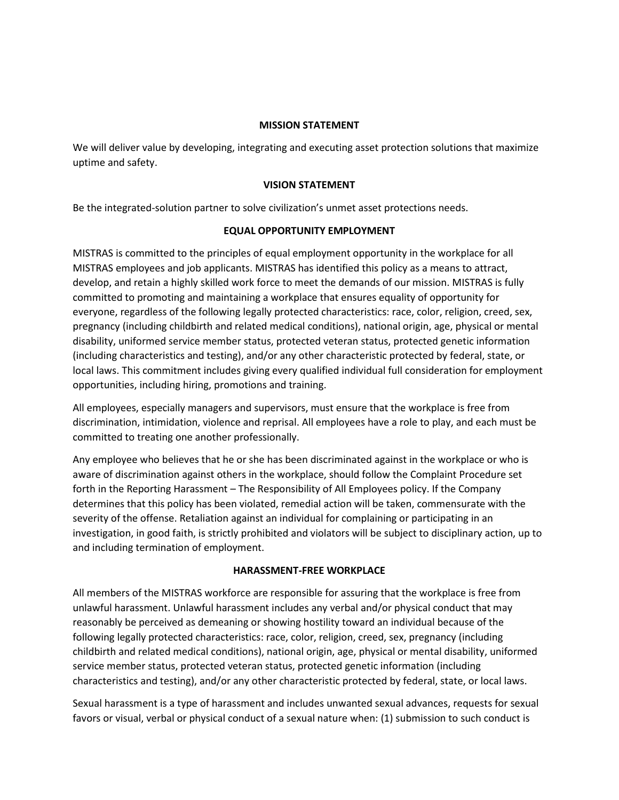#### **MISSION STATEMENT**

We will deliver value by developing, integrating and executing asset protection solutions that maximize uptime and safety.

#### **VISION STATEMENT**

Be the integrated-solution partner to solve civilization's unmet asset protections needs.

#### **EQUAL OPPORTUNITY EMPLOYMENT**

MISTRAS is committed to the principles of equal employment opportunity in the workplace for all MISTRAS employees and job applicants. MISTRAS has identified this policy as a means to attract, develop, and retain a highly skilled work force to meet the demands of our mission. MISTRAS is fully committed to promoting and maintaining a workplace that ensures equality of opportunity for everyone, regardless of the following legally protected characteristics: race, color, religion, creed, sex, pregnancy (including childbirth and related medical conditions), national origin, age, physical or mental disability, uniformed service member status, protected veteran status, protected genetic information (including characteristics and testing), and/or any other characteristic protected by federal, state, or local laws. This commitment includes giving every qualified individual full consideration for employment opportunities, including hiring, promotions and training.

All employees, especially managers and supervisors, must ensure that the workplace is free from discrimination, intimidation, violence and reprisal. All employees have a role to play, and each must be committed to treating one another professionally.

Any employee who believes that he or she has been discriminated against in the workplace or who is aware of discrimination against others in the workplace, should follow the Complaint Procedure set forth in the Reporting Harassment – The Responsibility of All Employees policy. If the Company determines that this policy has been violated, remedial action will be taken, commensurate with the severity of the offense. Retaliation against an individual for complaining or participating in an investigation, in good faith, is strictly prohibited and violators will be subject to disciplinary action, up to and including termination of employment.

#### **HARASSMENT-FREE WORKPLACE**

All members of the MISTRAS workforce are responsible for assuring that the workplace is free from unlawful harassment. Unlawful harassment includes any verbal and/or physical conduct that may reasonably be perceived as demeaning or showing hostility toward an individual because of the following legally protected characteristics: race, color, religion, creed, sex, pregnancy (including childbirth and related medical conditions), national origin, age, physical or mental disability, uniformed service member status, protected veteran status, protected genetic information (including characteristics and testing), and/or any other characteristic protected by federal, state, or local laws.

Sexual harassment is a type of harassment and includes unwanted sexual advances, requests for sexual favors or visual, verbal or physical conduct of a sexual nature when: (1) submission to such conduct is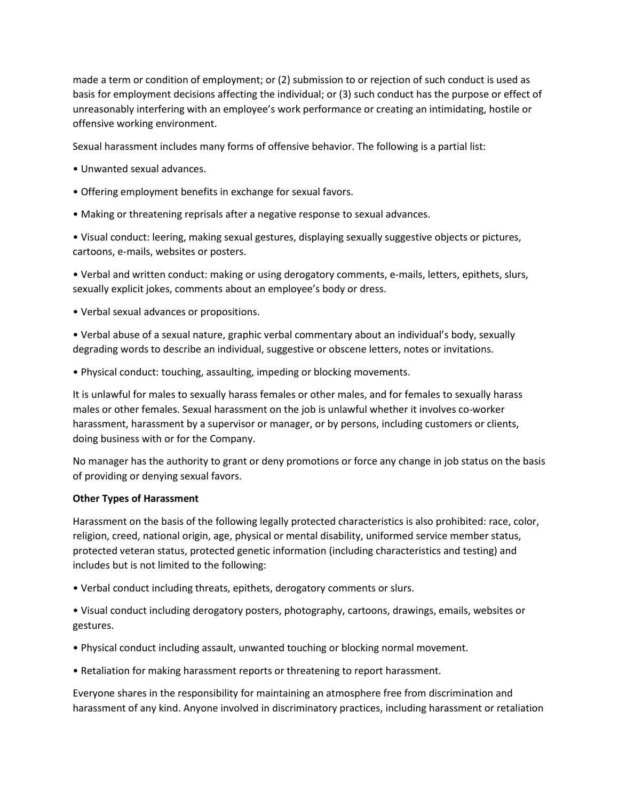made a term or condition of employment; or (2) submission to or rejection of such conduct is used as basis for employment decisions affecting the individual; or (3) such conduct has the purpose or effect of unreasonably interfering with an employee's work performance or creating an intimidating, hostile or offensive working environment.

Sexual harassment includes many forms of offensive behavior. The following is a partial list:

- Unwanted sexual advances.
- Offering employment benefits in exchange for sexual favors.
- Making or threatening reprisals after a negative response to sexual advances.

• Visual conduct: leering, making sexual gestures, displaying sexually suggestive objects or pictures, cartoons, e-mails, websites or posters.

• Verbal and written conduct: making or using derogatory comments, e-mails, letters, epithets, slurs, sexually explicit jokes, comments about an employee's body or dress.

• Verbal sexual advances or propositions.

• Verbal abuse of a sexual nature, graphic verbal commentary about an individual's body, sexually degrading words to describe an individual, suggestive or obscene letters, notes or invitations.

• Physical conduct: touching, assaulting, impeding or blocking movements.

It is unlawful for males to sexually harass females or other males, and for females to sexually harass males or other females. Sexual harassment on the job is unlawful whether it involves co-worker harassment, harassment by a supervisor or manager, or by persons, including customers or clients, doing business with or for the Company.

No manager has the authority to grant or deny promotions or force any change in job status on the basis of providing or denying sexual favors.

#### **Other Types of Harassment**

Harassment on the basis of the following legally protected characteristics is also prohibited: race, color, religion, creed, national origin, age, physical or mental disability, uniformed service member status, protected veteran status, protected genetic information (including characteristics and testing) and includes but is not limited to the following:

• Verbal conduct including threats, epithets, derogatory comments or slurs.

• Visual conduct including derogatory posters, photography, cartoons, drawings, emails, websites or gestures.

- Physical conduct including assault, unwanted touching or blocking normal movement.
- Retaliation for making harassment reports or threatening to report harassment.

Everyone shares in the responsibility for maintaining an atmosphere free from discrimination and harassment of any kind. Anyone involved in discriminatory practices, including harassment or retaliation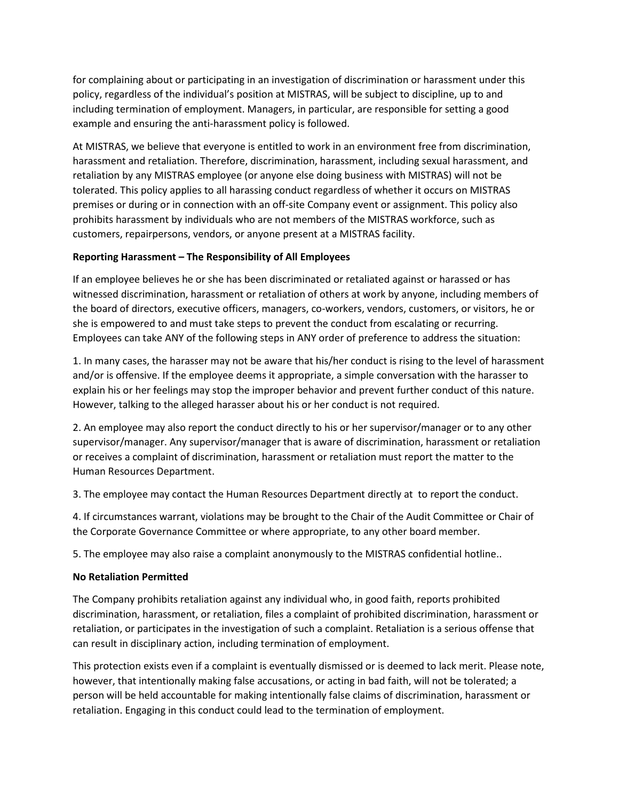for complaining about or participating in an investigation of discrimination or harassment under this policy, regardless of the individual's position at MISTRAS, will be subject to discipline, up to and including termination of employment. Managers, in particular, are responsible for setting a good example and ensuring the anti-harassment policy is followed.

At MISTRAS, we believe that everyone is entitled to work in an environment free from discrimination, harassment and retaliation. Therefore, discrimination, harassment, including sexual harassment, and retaliation by any MISTRAS employee (or anyone else doing business with MISTRAS) will not be tolerated. This policy applies to all harassing conduct regardless of whether it occurs on MISTRAS premises or during or in connection with an off-site Company event or assignment. This policy also prohibits harassment by individuals who are not members of the MISTRAS workforce, such as customers, repairpersons, vendors, or anyone present at a MISTRAS facility.

## **Reporting Harassment – The Responsibility of All Employees**

If an employee believes he or she has been discriminated or retaliated against or harassed or has witnessed discrimination, harassment or retaliation of others at work by anyone, including members of the board of directors, executive officers, managers, co-workers, vendors, customers, or visitors, he or she is empowered to and must take steps to prevent the conduct from escalating or recurring. Employees can take ANY of the following steps in ANY order of preference to address the situation:

1. In many cases, the harasser may not be aware that his/her conduct is rising to the level of harassment and/or is offensive. If the employee deems it appropriate, a simple conversation with the harasser to explain his or her feelings may stop the improper behavior and prevent further conduct of this nature. However, talking to the alleged harasser about his or her conduct is not required.

2. An employee may also report the conduct directly to his or her supervisor/manager or to any other supervisor/manager. Any supervisor/manager that is aware of discrimination, harassment or retaliation or receives a complaint of discrimination, harassment or retaliation must report the matter to the Human Resources Department.

3. The employee may contact the Human Resources Department directly at to report the conduct.

4. If circumstances warrant, violations may be brought to the Chair of the Audit Committee or Chair of the Corporate Governance Committee or where appropriate, to any other board member.

5. The employee may also raise a complaint anonymously to the MISTRAS confidential hotline..

### **No Retaliation Permitted**

The Company prohibits retaliation against any individual who, in good faith, reports prohibited discrimination, harassment, or retaliation, files a complaint of prohibited discrimination, harassment or retaliation, or participates in the investigation of such a complaint. Retaliation is a serious offense that can result in disciplinary action, including termination of employment.

This protection exists even if a complaint is eventually dismissed or is deemed to lack merit. Please note, however, that intentionally making false accusations, or acting in bad faith, will not be tolerated; a person will be held accountable for making intentionally false claims of discrimination, harassment or retaliation. Engaging in this conduct could lead to the termination of employment.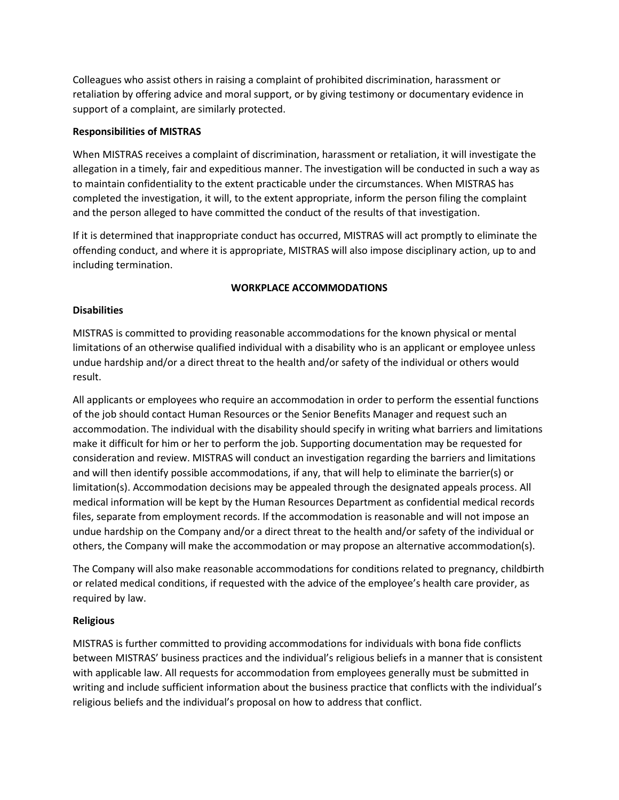Colleagues who assist others in raising a complaint of prohibited discrimination, harassment or retaliation by offering advice and moral support, or by giving testimony or documentary evidence in support of a complaint, are similarly protected.

### **Responsibilities of MISTRAS**

When MISTRAS receives a complaint of discrimination, harassment or retaliation, it will investigate the allegation in a timely, fair and expeditious manner. The investigation will be conducted in such a way as to maintain confidentiality to the extent practicable under the circumstances. When MISTRAS has completed the investigation, it will, to the extent appropriate, inform the person filing the complaint and the person alleged to have committed the conduct of the results of that investigation.

If it is determined that inappropriate conduct has occurred, MISTRAS will act promptly to eliminate the offending conduct, and where it is appropriate, MISTRAS will also impose disciplinary action, up to and including termination.

## **WORKPLACE ACCOMMODATIONS**

## **Disabilities**

MISTRAS is committed to providing reasonable accommodations for the known physical or mental limitations of an otherwise qualified individual with a disability who is an applicant or employee unless undue hardship and/or a direct threat to the health and/or safety of the individual or others would result.

All applicants or employees who require an accommodation in order to perform the essential functions of the job should contact Human Resources or the Senior Benefits Manager and request such an accommodation. The individual with the disability should specify in writing what barriers and limitations make it difficult for him or her to perform the job. Supporting documentation may be requested for consideration and review. MISTRAS will conduct an investigation regarding the barriers and limitations and will then identify possible accommodations, if any, that will help to eliminate the barrier(s) or limitation(s). Accommodation decisions may be appealed through the designated appeals process. All medical information will be kept by the Human Resources Department as confidential medical records files, separate from employment records. If the accommodation is reasonable and will not impose an undue hardship on the Company and/or a direct threat to the health and/or safety of the individual or others, the Company will make the accommodation or may propose an alternative accommodation(s).

The Company will also make reasonable accommodations for conditions related to pregnancy, childbirth or related medical conditions, if requested with the advice of the employee's health care provider, as required by law.

### **Religious**

MISTRAS is further committed to providing accommodations for individuals with bona fide conflicts between MISTRAS' business practices and the individual's religious beliefs in a manner that is consistent with applicable law. All requests for accommodation from employees generally must be submitted in writing and include sufficient information about the business practice that conflicts with the individual's religious beliefs and the individual's proposal on how to address that conflict.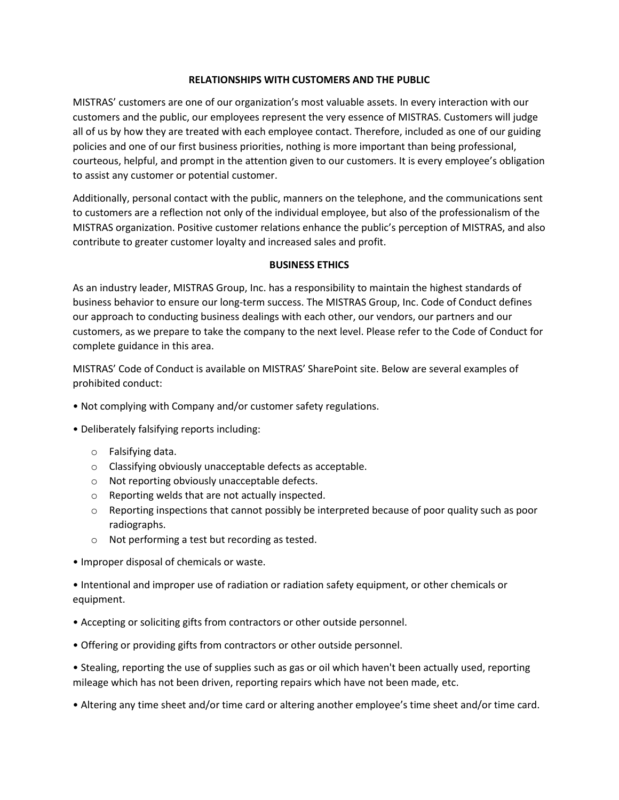### **RELATIONSHIPS WITH CUSTOMERS AND THE PUBLIC**

MISTRAS' customers are one of our organization's most valuable assets. In every interaction with our customers and the public, our employees represent the very essence of MISTRAS. Customers will judge all of us by how they are treated with each employee contact. Therefore, included as one of our guiding policies and one of our first business priorities, nothing is more important than being professional, courteous, helpful, and prompt in the attention given to our customers. It is every employee's obligation to assist any customer or potential customer.

Additionally, personal contact with the public, manners on the telephone, and the communications sent to customers are a reflection not only of the individual employee, but also of the professionalism of the MISTRAS organization. Positive customer relations enhance the public's perception of MISTRAS, and also contribute to greater customer loyalty and increased sales and profit.

### **BUSINESS ETHICS**

As an industry leader, MISTRAS Group, Inc. has a responsibility to maintain the highest standards of business behavior to ensure our long-term success. The MISTRAS Group, Inc. Code of Conduct defines our approach to conducting business dealings with each other, our vendors, our partners and our customers, as we prepare to take the company to the next level. Please refer to the Code of Conduct for complete guidance in this area.

MISTRAS' Code of Conduct is available on MISTRAS' SharePoint site. Below are several examples of prohibited conduct:

- Not complying with Company and/or customer safety regulations.
- Deliberately falsifying reports including:
	- o Falsifying data.
	- o Classifying obviously unacceptable defects as acceptable.
	- o Not reporting obviously unacceptable defects.
	- o Reporting welds that are not actually inspected.
	- o Reporting inspections that cannot possibly be interpreted because of poor quality such as poor radiographs.
	- o Not performing a test but recording as tested.
- Improper disposal of chemicals or waste.

• Intentional and improper use of radiation or radiation safety equipment, or other chemicals or equipment.

- Accepting or soliciting gifts from contractors or other outside personnel.
- Offering or providing gifts from contractors or other outside personnel.

• Stealing, reporting the use of supplies such as gas or oil which haven't been actually used, reporting mileage which has not been driven, reporting repairs which have not been made, etc.

• Altering any time sheet and/or time card or altering another employee's time sheet and/or time card.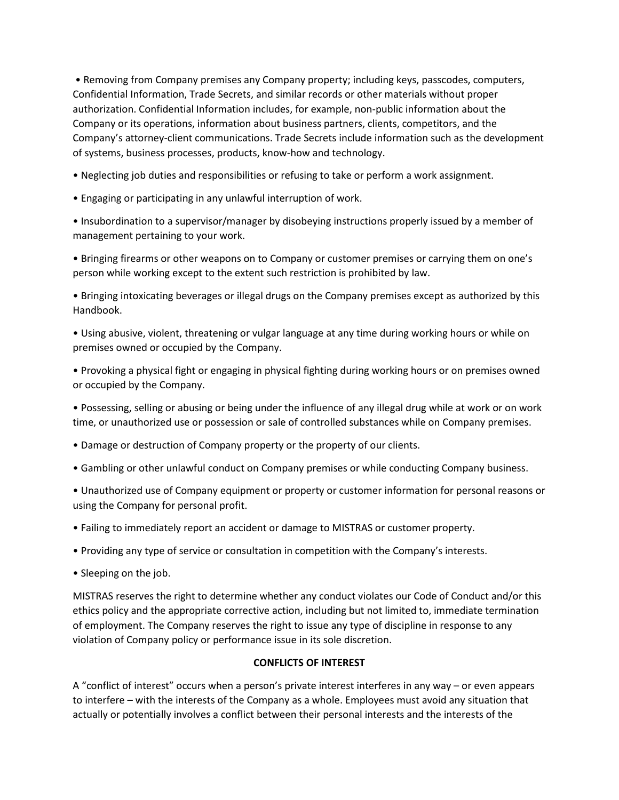• Removing from Company premises any Company property; including keys, passcodes, computers, Confidential Information, Trade Secrets, and similar records or other materials without proper authorization. Confidential Information includes, for example, non-public information about the Company or its operations, information about business partners, clients, competitors, and the Company's attorney-client communications. Trade Secrets include information such as the development of systems, business processes, products, know-how and technology.

• Neglecting job duties and responsibilities or refusing to take or perform a work assignment.

• Engaging or participating in any unlawful interruption of work.

• Insubordination to a supervisor/manager by disobeying instructions properly issued by a member of management pertaining to your work.

• Bringing firearms or other weapons on to Company or customer premises or carrying them on one's person while working except to the extent such restriction is prohibited by law.

• Bringing intoxicating beverages or illegal drugs on the Company premises except as authorized by this Handbook.

• Using abusive, violent, threatening or vulgar language at any time during working hours or while on premises owned or occupied by the Company.

• Provoking a physical fight or engaging in physical fighting during working hours or on premises owned or occupied by the Company.

• Possessing, selling or abusing or being under the influence of any illegal drug while at work or on work time, or unauthorized use or possession or sale of controlled substances while on Company premises.

- Damage or destruction of Company property or the property of our clients.
- Gambling or other unlawful conduct on Company premises or while conducting Company business.

• Unauthorized use of Company equipment or property or customer information for personal reasons or using the Company for personal profit.

- Failing to immediately report an accident or damage to MISTRAS or customer property.
- Providing any type of service or consultation in competition with the Company's interests.
- Sleeping on the job.

MISTRAS reserves the right to determine whether any conduct violates our Code of Conduct and/or this ethics policy and the appropriate corrective action, including but not limited to, immediate termination of employment. The Company reserves the right to issue any type of discipline in response to any violation of Company policy or performance issue in its sole discretion.

### **CONFLICTS OF INTEREST**

A "conflict of interest" occurs when a person's private interest interferes in any way – or even appears to interfere – with the interests of the Company as a whole. Employees must avoid any situation that actually or potentially involves a conflict between their personal interests and the interests of the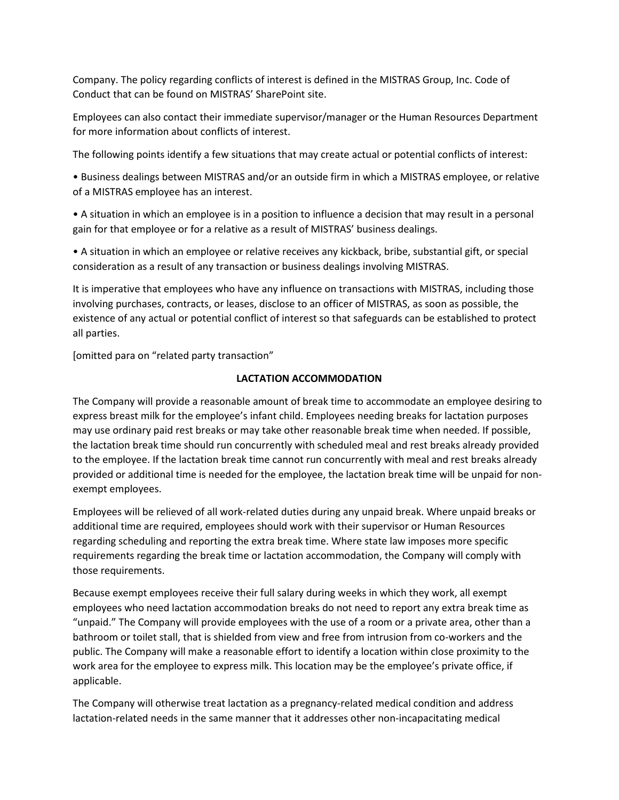Company. The policy regarding conflicts of interest is defined in the MISTRAS Group, Inc. Code of Conduct that can be found on MISTRAS' SharePoint site.

Employees can also contact their immediate supervisor/manager or the Human Resources Department for more information about conflicts of interest.

The following points identify a few situations that may create actual or potential conflicts of interest:

• Business dealings between MISTRAS and/or an outside firm in which a MISTRAS employee, or relative of a MISTRAS employee has an interest.

• A situation in which an employee is in a position to influence a decision that may result in a personal gain for that employee or for a relative as a result of MISTRAS' business dealings.

• A situation in which an employee or relative receives any kickback, bribe, substantial gift, or special consideration as a result of any transaction or business dealings involving MISTRAS.

It is imperative that employees who have any influence on transactions with MISTRAS, including those involving purchases, contracts, or leases, disclose to an officer of MISTRAS, as soon as possible, the existence of any actual or potential conflict of interest so that safeguards can be established to protect all parties.

[omitted para on "related party transaction"

## **LACTATION ACCOMMODATION**

The Company will provide a reasonable amount of break time to accommodate an employee desiring to express breast milk for the employee's infant child. Employees needing breaks for lactation purposes may use ordinary paid rest breaks or may take other reasonable break time when needed. If possible, the lactation break time should run concurrently with scheduled meal and rest breaks already provided to the employee. If the lactation break time cannot run concurrently with meal and rest breaks already provided or additional time is needed for the employee, the lactation break time will be unpaid for nonexempt employees.

Employees will be relieved of all work-related duties during any unpaid break. Where unpaid breaks or additional time are required, employees should work with their supervisor or Human Resources regarding scheduling and reporting the extra break time. Where state law imposes more specific requirements regarding the break time or lactation accommodation, the Company will comply with those requirements.

Because exempt employees receive their full salary during weeks in which they work, all exempt employees who need lactation accommodation breaks do not need to report any extra break time as "unpaid." The Company will provide employees with the use of a room or a private area, other than a bathroom or toilet stall, that is shielded from view and free from intrusion from co-workers and the public. The Company will make a reasonable effort to identify a location within close proximity to the work area for the employee to express milk. This location may be the employee's private office, if applicable.

The Company will otherwise treat lactation as a pregnancy-related medical condition and address lactation-related needs in the same manner that it addresses other non-incapacitating medical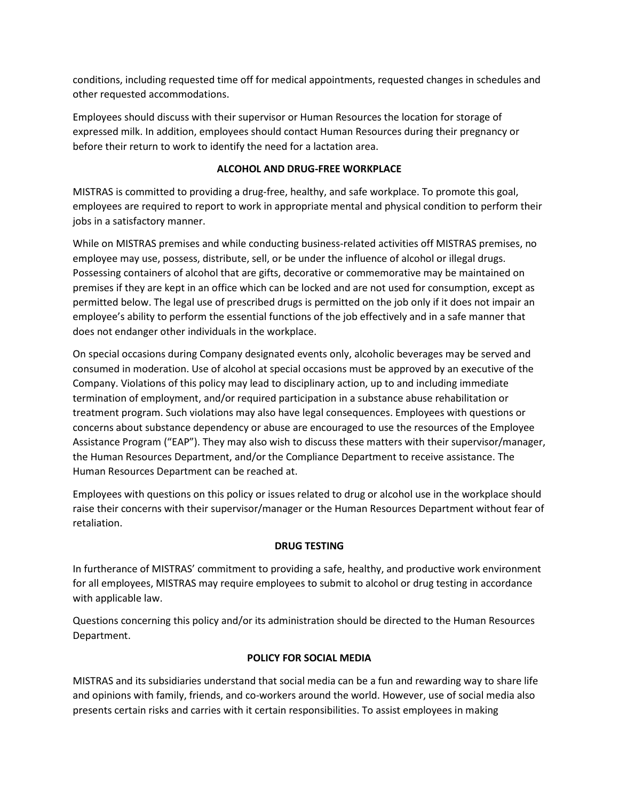conditions, including requested time off for medical appointments, requested changes in schedules and other requested accommodations.

Employees should discuss with their supervisor or Human Resources the location for storage of expressed milk. In addition, employees should contact Human Resources during their pregnancy or before their return to work to identify the need for a lactation area.

## **ALCOHOL AND DRUG-FREE WORKPLACE**

MISTRAS is committed to providing a drug-free, healthy, and safe workplace. To promote this goal, employees are required to report to work in appropriate mental and physical condition to perform their jobs in a satisfactory manner.

While on MISTRAS premises and while conducting business-related activities off MISTRAS premises, no employee may use, possess, distribute, sell, or be under the influence of alcohol or illegal drugs. Possessing containers of alcohol that are gifts, decorative or commemorative may be maintained on premises if they are kept in an office which can be locked and are not used for consumption, except as permitted below. The legal use of prescribed drugs is permitted on the job only if it does not impair an employee's ability to perform the essential functions of the job effectively and in a safe manner that does not endanger other individuals in the workplace.

On special occasions during Company designated events only, alcoholic beverages may be served and consumed in moderation. Use of alcohol at special occasions must be approved by an executive of the Company. Violations of this policy may lead to disciplinary action, up to and including immediate termination of employment, and/or required participation in a substance abuse rehabilitation or treatment program. Such violations may also have legal consequences. Employees with questions or concerns about substance dependency or abuse are encouraged to use the resources of the Employee Assistance Program ("EAP"). They may also wish to discuss these matters with their supervisor/manager, the Human Resources Department, and/or the Compliance Department to receive assistance. The Human Resources Department can be reached at.

Employees with questions on this policy or issues related to drug or alcohol use in the workplace should raise their concerns with their supervisor/manager or the Human Resources Department without fear of retaliation.

# **DRUG TESTING**

In furtherance of MISTRAS' commitment to providing a safe, healthy, and productive work environment for all employees, MISTRAS may require employees to submit to alcohol or drug testing in accordance with applicable law.

Questions concerning this policy and/or its administration should be directed to the Human Resources Department.

# **POLICY FOR SOCIAL MEDIA**

MISTRAS and its subsidiaries understand that social media can be a fun and rewarding way to share life and opinions with family, friends, and co-workers around the world. However, use of social media also presents certain risks and carries with it certain responsibilities. To assist employees in making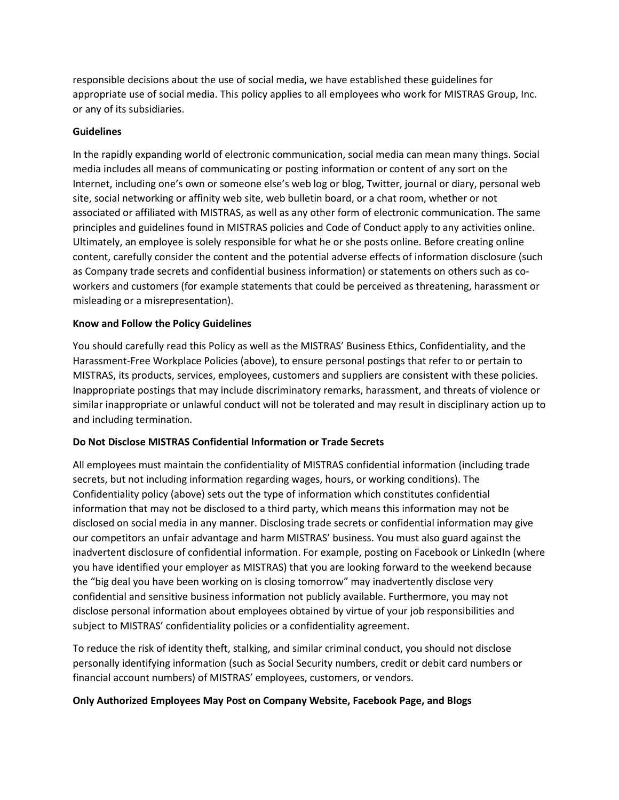responsible decisions about the use of social media, we have established these guidelines for appropriate use of social media. This policy applies to all employees who work for MISTRAS Group, Inc. or any of its subsidiaries.

### **Guidelines**

In the rapidly expanding world of electronic communication, social media can mean many things. Social media includes all means of communicating or posting information or content of any sort on the Internet, including one's own or someone else's web log or blog, Twitter, journal or diary, personal web site, social networking or affinity web site, web bulletin board, or a chat room, whether or not associated or affiliated with MISTRAS, as well as any other form of electronic communication. The same principles and guidelines found in MISTRAS policies and Code of Conduct apply to any activities online. Ultimately, an employee is solely responsible for what he or she posts online. Before creating online content, carefully consider the content and the potential adverse effects of information disclosure (such as Company trade secrets and confidential business information) or statements on others such as coworkers and customers (for example statements that could be perceived as threatening, harassment or misleading or a misrepresentation).

### **Know and Follow the Policy Guidelines**

You should carefully read this Policy as well as the MISTRAS' Business Ethics, Confidentiality, and the Harassment-Free Workplace Policies (above), to ensure personal postings that refer to or pertain to MISTRAS, its products, services, employees, customers and suppliers are consistent with these policies. Inappropriate postings that may include discriminatory remarks, harassment, and threats of violence or similar inappropriate or unlawful conduct will not be tolerated and may result in disciplinary action up to and including termination.

# **Do Not Disclose MISTRAS Confidential Information or Trade Secrets**

All employees must maintain the confidentiality of MISTRAS confidential information (including trade secrets, but not including information regarding wages, hours, or working conditions). The Confidentiality policy (above) sets out the type of information which constitutes confidential information that may not be disclosed to a third party, which means this information may not be disclosed on social media in any manner. Disclosing trade secrets or confidential information may give our competitors an unfair advantage and harm MISTRAS' business. You must also guard against the inadvertent disclosure of confidential information. For example, posting on Facebook or LinkedIn (where you have identified your employer as MISTRAS) that you are looking forward to the weekend because the "big deal you have been working on is closing tomorrow" may inadvertently disclose very confidential and sensitive business information not publicly available. Furthermore, you may not disclose personal information about employees obtained by virtue of your job responsibilities and subject to MISTRAS' confidentiality policies or a confidentiality agreement.

To reduce the risk of identity theft, stalking, and similar criminal conduct, you should not disclose personally identifying information (such as Social Security numbers, credit or debit card numbers or financial account numbers) of MISTRAS' employees, customers, or vendors.

### **Only Authorized Employees May Post on Company Website, Facebook Page, and Blogs**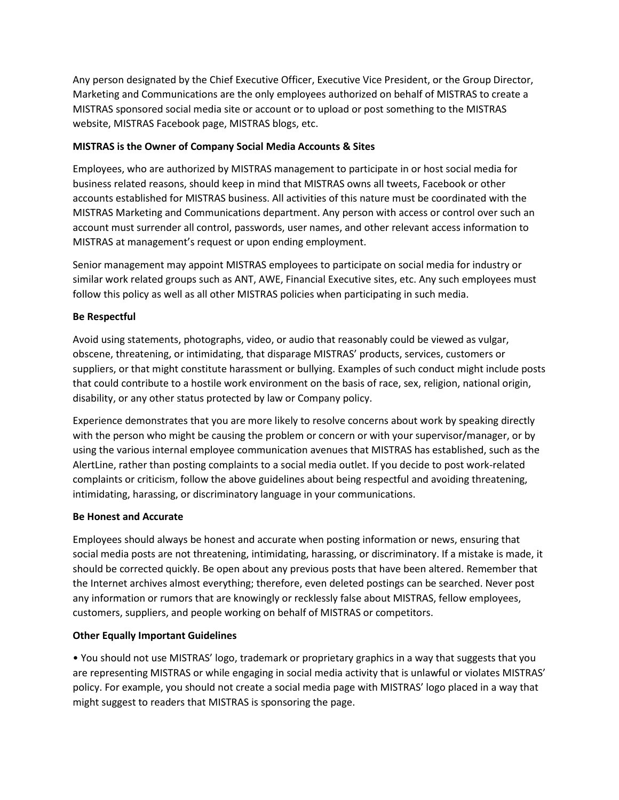Any person designated by the Chief Executive Officer, Executive Vice President, or the Group Director, Marketing and Communications are the only employees authorized on behalf of MISTRAS to create a MISTRAS sponsored social media site or account or to upload or post something to the MISTRAS website, MISTRAS Facebook page, MISTRAS blogs, etc.

## **MISTRAS is the Owner of Company Social Media Accounts & Sites**

Employees, who are authorized by MISTRAS management to participate in or host social media for business related reasons, should keep in mind that MISTRAS owns all tweets, Facebook or other accounts established for MISTRAS business. All activities of this nature must be coordinated with the MISTRAS Marketing and Communications department. Any person with access or control over such an account must surrender all control, passwords, user names, and other relevant access information to MISTRAS at management's request or upon ending employment.

Senior management may appoint MISTRAS employees to participate on social media for industry or similar work related groups such as ANT, AWE, Financial Executive sites, etc. Any such employees must follow this policy as well as all other MISTRAS policies when participating in such media.

# **Be Respectful**

Avoid using statements, photographs, video, or audio that reasonably could be viewed as vulgar, obscene, threatening, or intimidating, that disparage MISTRAS' products, services, customers or suppliers, or that might constitute harassment or bullying. Examples of such conduct might include posts that could contribute to a hostile work environment on the basis of race, sex, religion, national origin, disability, or any other status protected by law or Company policy.

Experience demonstrates that you are more likely to resolve concerns about work by speaking directly with the person who might be causing the problem or concern or with your supervisor/manager, or by using the various internal employee communication avenues that MISTRAS has established, such as the AlertLine, rather than posting complaints to a social media outlet. If you decide to post work-related complaints or criticism, follow the above guidelines about being respectful and avoiding threatening, intimidating, harassing, or discriminatory language in your communications.

### **Be Honest and Accurate**

Employees should always be honest and accurate when posting information or news, ensuring that social media posts are not threatening, intimidating, harassing, or discriminatory. If a mistake is made, it should be corrected quickly. Be open about any previous posts that have been altered. Remember that the Internet archives almost everything; therefore, even deleted postings can be searched. Never post any information or rumors that are knowingly or recklessly false about MISTRAS, fellow employees, customers, suppliers, and people working on behalf of MISTRAS or competitors.

# **Other Equally Important Guidelines**

• You should not use MISTRAS' logo, trademark or proprietary graphics in a way that suggests that you are representing MISTRAS or while engaging in social media activity that is unlawful or violates MISTRAS' policy. For example, you should not create a social media page with MISTRAS' logo placed in a way that might suggest to readers that MISTRAS is sponsoring the page.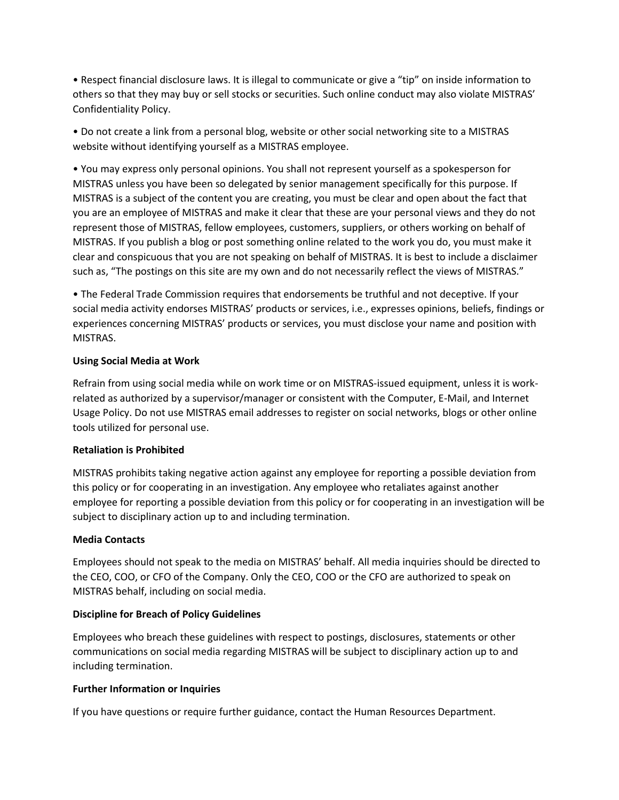• Respect financial disclosure laws. It is illegal to communicate or give a "tip" on inside information to others so that they may buy or sell stocks or securities. Such online conduct may also violate MISTRAS' Confidentiality Policy.

• Do not create a link from a personal blog, website or other social networking site to a MISTRAS website without identifying yourself as a MISTRAS employee.

• You may express only personal opinions. You shall not represent yourself as a spokesperson for MISTRAS unless you have been so delegated by senior management specifically for this purpose. If MISTRAS is a subject of the content you are creating, you must be clear and open about the fact that you are an employee of MISTRAS and make it clear that these are your personal views and they do not represent those of MISTRAS, fellow employees, customers, suppliers, or others working on behalf of MISTRAS. If you publish a blog or post something online related to the work you do, you must make it clear and conspicuous that you are not speaking on behalf of MISTRAS. It is best to include a disclaimer such as, "The postings on this site are my own and do not necessarily reflect the views of MISTRAS."

• The Federal Trade Commission requires that endorsements be truthful and not deceptive. If your social media activity endorses MISTRAS' products or services, i.e., expresses opinions, beliefs, findings or experiences concerning MISTRAS' products or services, you must disclose your name and position with MISTRAS.

### **Using Social Media at Work**

Refrain from using social media while on work time or on MISTRAS-issued equipment, unless it is workrelated as authorized by a supervisor/manager or consistent with the Computer, E-Mail, and Internet Usage Policy. Do not use MISTRAS email addresses to register on social networks, blogs or other online tools utilized for personal use.

### **Retaliation is Prohibited**

MISTRAS prohibits taking negative action against any employee for reporting a possible deviation from this policy or for cooperating in an investigation. Any employee who retaliates against another employee for reporting a possible deviation from this policy or for cooperating in an investigation will be subject to disciplinary action up to and including termination.

### **Media Contacts**

Employees should not speak to the media on MISTRAS' behalf. All media inquiries should be directed to the CEO, COO, or CFO of the Company. Only the CEO, COO or the CFO are authorized to speak on MISTRAS behalf, including on social media.

### **Discipline for Breach of Policy Guidelines**

Employees who breach these guidelines with respect to postings, disclosures, statements or other communications on social media regarding MISTRAS will be subject to disciplinary action up to and including termination.

### **Further Information or Inquiries**

If you have questions or require further guidance, contact the Human Resources Department.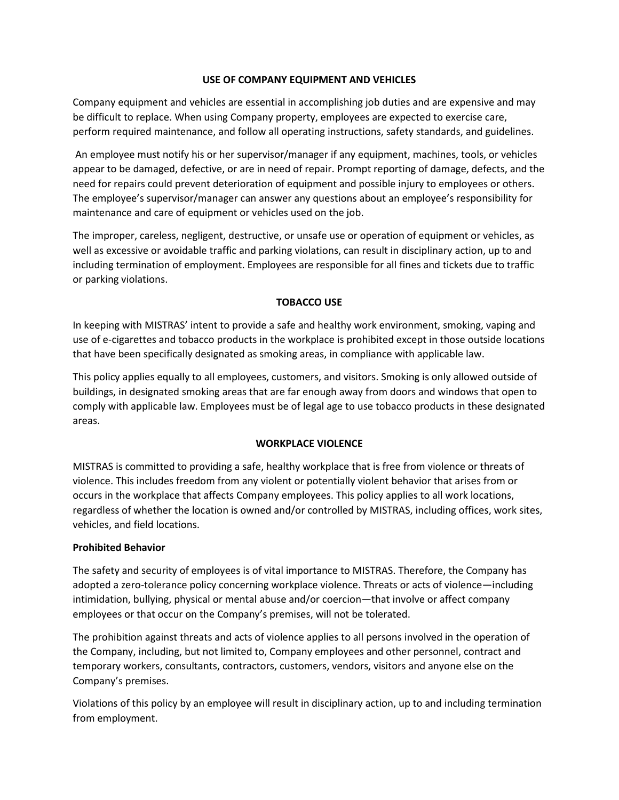## **USE OF COMPANY EQUIPMENT AND VEHICLES**

Company equipment and vehicles are essential in accomplishing job duties and are expensive and may be difficult to replace. When using Company property, employees are expected to exercise care, perform required maintenance, and follow all operating instructions, safety standards, and guidelines.

An employee must notify his or her supervisor/manager if any equipment, machines, tools, or vehicles appear to be damaged, defective, or are in need of repair. Prompt reporting of damage, defects, and the need for repairs could prevent deterioration of equipment and possible injury to employees or others. The employee's supervisor/manager can answer any questions about an employee's responsibility for maintenance and care of equipment or vehicles used on the job.

The improper, careless, negligent, destructive, or unsafe use or operation of equipment or vehicles, as well as excessive or avoidable traffic and parking violations, can result in disciplinary action, up to and including termination of employment. Employees are responsible for all fines and tickets due to traffic or parking violations.

## **TOBACCO USE**

In keeping with MISTRAS' intent to provide a safe and healthy work environment, smoking, vaping and use of e-cigarettes and tobacco products in the workplace is prohibited except in those outside locations that have been specifically designated as smoking areas, in compliance with applicable law.

This policy applies equally to all employees, customers, and visitors. Smoking is only allowed outside of buildings, in designated smoking areas that are far enough away from doors and windows that open to comply with applicable law. Employees must be of legal age to use tobacco products in these designated areas.

### **WORKPLACE VIOLENCE**

MISTRAS is committed to providing a safe, healthy workplace that is free from violence or threats of violence. This includes freedom from any violent or potentially violent behavior that arises from or occurs in the workplace that affects Company employees. This policy applies to all work locations, regardless of whether the location is owned and/or controlled by MISTRAS, including offices, work sites, vehicles, and field locations.

### **Prohibited Behavior**

The safety and security of employees is of vital importance to MISTRAS. Therefore, the Company has adopted a zero-tolerance policy concerning workplace violence. Threats or acts of violence—including intimidation, bullying, physical or mental abuse and/or coercion—that involve or affect company employees or that occur on the Company's premises, will not be tolerated.

The prohibition against threats and acts of violence applies to all persons involved in the operation of the Company, including, but not limited to, Company employees and other personnel, contract and temporary workers, consultants, contractors, customers, vendors, visitors and anyone else on the Company's premises.

Violations of this policy by an employee will result in disciplinary action, up to and including termination from employment.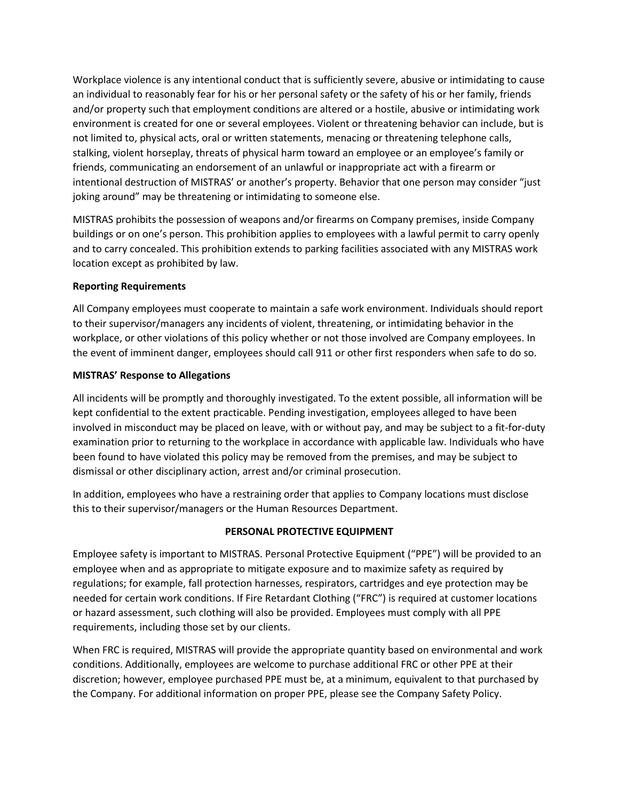Workplace violence is any intentional conduct that is sufficiently severe, abusive or intimidating to cause an individual to reasonably fear for his or her personal safety or the safety of his or her family, friends and/or property such that employment conditions are altered or a hostile, abusive or intimidating work environment is created for one or several employees. Violent or threatening behavior can include, but is not limited to, physical acts, oral or written statements, menacing or threatening telephone calls, stalking, violent horseplay, threats of physical harm toward an employee or an employee's family or friends, communicating an endorsement of an unlawful or inappropriate act with a firearm or intentional destruction of MISTRAS' or another's property. Behavior that one person may consider "just joking around" may be threatening or intimidating to someone else.

MISTRAS prohibits the possession of weapons and/or firearms on Company premises, inside Company buildings or on one's person. This prohibition applies to employees with a lawful permit to carry openly and to carry concealed. This prohibition extends to parking facilities associated with any MISTRAS work location except as prohibited by law.

### **Reporting Requirements**

All Company employees must cooperate to maintain a safe work environment. Individuals should report to their supervisor/managers any incidents of violent, threatening, or intimidating behavior in the workplace, or other violations of this policy whether or not those involved are Company employees. In the event of imminent danger, employees should call 911 or other first responders when safe to do so.

## **MISTRAS' Response to Allegations**

All incidents will be promptly and thoroughly investigated. To the extent possible, all information will be kept confidential to the extent practicable. Pending investigation, employees alleged to have been involved in misconduct may be placed on leave, with or without pay, and may be subject to a fit-for-duty examination prior to returning to the workplace in accordance with applicable law. Individuals who have been found to have violated this policy may be removed from the premises, and may be subject to dismissal or other disciplinary action, arrest and/or criminal prosecution.

In addition, employees who have a restraining order that applies to Company locations must disclose this to their supervisor/managers or the Human Resources Department.

### **PERSONAL PROTECTIVE EQUIPMENT**

Employee safety is important to MISTRAS. Personal Protective Equipment ("PPE") will be provided to an employee when and as appropriate to mitigate exposure and to maximize safety as required by regulations; for example, fall protection harnesses, respirators, cartridges and eye protection may be needed for certain work conditions. If Fire Retardant Clothing ("FRC") is required at customer locations or hazard assessment, such clothing will also be provided. Employees must comply with all PPE requirements, including those set by our clients.

When FRC is required, MISTRAS will provide the appropriate quantity based on environmental and work conditions. Additionally, employees are welcome to purchase additional FRC or other PPE at their discretion; however, employee purchased PPE must be, at a minimum, equivalent to that purchased by the Company. For additional information on proper PPE, please see the Company Safety Policy.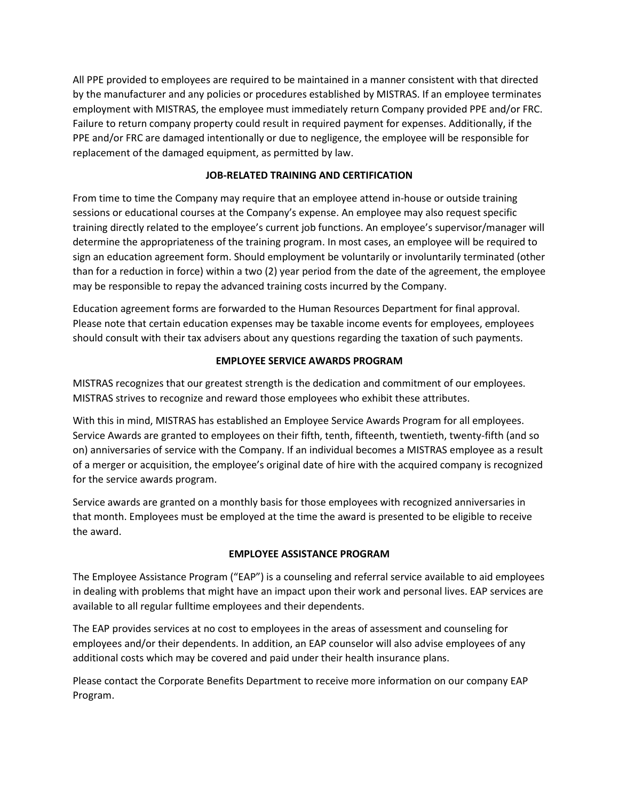All PPE provided to employees are required to be maintained in a manner consistent with that directed by the manufacturer and any policies or procedures established by MISTRAS. If an employee terminates employment with MISTRAS, the employee must immediately return Company provided PPE and/or FRC. Failure to return company property could result in required payment for expenses. Additionally, if the PPE and/or FRC are damaged intentionally or due to negligence, the employee will be responsible for replacement of the damaged equipment, as permitted by law.

## **JOB-RELATED TRAINING AND CERTIFICATION**

From time to time the Company may require that an employee attend in-house or outside training sessions or educational courses at the Company's expense. An employee may also request specific training directly related to the employee's current job functions. An employee's supervisor/manager will determine the appropriateness of the training program. In most cases, an employee will be required to sign an education agreement form. Should employment be voluntarily or involuntarily terminated (other than for a reduction in force) within a two (2) year period from the date of the agreement, the employee may be responsible to repay the advanced training costs incurred by the Company.

Education agreement forms are forwarded to the Human Resources Department for final approval. Please note that certain education expenses may be taxable income events for employees, employees should consult with their tax advisers about any questions regarding the taxation of such payments.

## **EMPLOYEE SERVICE AWARDS PROGRAM**

MISTRAS recognizes that our greatest strength is the dedication and commitment of our employees. MISTRAS strives to recognize and reward those employees who exhibit these attributes.

With this in mind, MISTRAS has established an Employee Service Awards Program for all employees. Service Awards are granted to employees on their fifth, tenth, fifteenth, twentieth, twenty-fifth (and so on) anniversaries of service with the Company. If an individual becomes a MISTRAS employee as a result of a merger or acquisition, the employee's original date of hire with the acquired company is recognized for the service awards program.

Service awards are granted on a monthly basis for those employees with recognized anniversaries in that month. Employees must be employed at the time the award is presented to be eligible to receive the award.

### **EMPLOYEE ASSISTANCE PROGRAM**

The Employee Assistance Program ("EAP") is a counseling and referral service available to aid employees in dealing with problems that might have an impact upon their work and personal lives. EAP services are available to all regular fulltime employees and their dependents.

The EAP provides services at no cost to employees in the areas of assessment and counseling for employees and/or their dependents. In addition, an EAP counselor will also advise employees of any additional costs which may be covered and paid under their health insurance plans.

Please contact the Corporate Benefits Department to receive more information on our company EAP Program.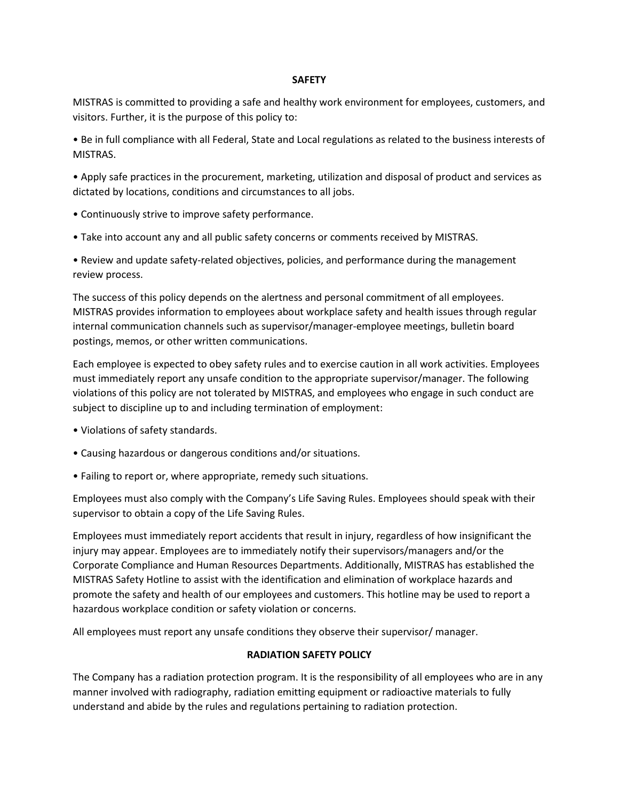#### **SAFETY**

MISTRAS is committed to providing a safe and healthy work environment for employees, customers, and visitors. Further, it is the purpose of this policy to:

• Be in full compliance with all Federal, State and Local regulations as related to the business interests of MISTRAS.

• Apply safe practices in the procurement, marketing, utilization and disposal of product and services as dictated by locations, conditions and circumstances to all jobs.

- Continuously strive to improve safety performance.
- Take into account any and all public safety concerns or comments received by MISTRAS.

• Review and update safety-related objectives, policies, and performance during the management review process.

The success of this policy depends on the alertness and personal commitment of all employees. MISTRAS provides information to employees about workplace safety and health issues through regular internal communication channels such as supervisor/manager-employee meetings, bulletin board postings, memos, or other written communications.

Each employee is expected to obey safety rules and to exercise caution in all work activities. Employees must immediately report any unsafe condition to the appropriate supervisor/manager. The following violations of this policy are not tolerated by MISTRAS, and employees who engage in such conduct are subject to discipline up to and including termination of employment:

- Violations of safety standards.
- Causing hazardous or dangerous conditions and/or situations.
- Failing to report or, where appropriate, remedy such situations.

Employees must also comply with the Company's Life Saving Rules. Employees should speak with their supervisor to obtain a copy of the Life Saving Rules.

Employees must immediately report accidents that result in injury, regardless of how insignificant the injury may appear. Employees are to immediately notify their supervisors/managers and/or the Corporate Compliance and Human Resources Departments. Additionally, MISTRAS has established the MISTRAS Safety Hotline to assist with the identification and elimination of workplace hazards and promote the safety and health of our employees and customers. This hotline may be used to report a hazardous workplace condition or safety violation or concerns.

All employees must report any unsafe conditions they observe their supervisor/ manager.

### **RADIATION SAFETY POLICY**

The Company has a radiation protection program. It is the responsibility of all employees who are in any manner involved with radiography, radiation emitting equipment or radioactive materials to fully understand and abide by the rules and regulations pertaining to radiation protection.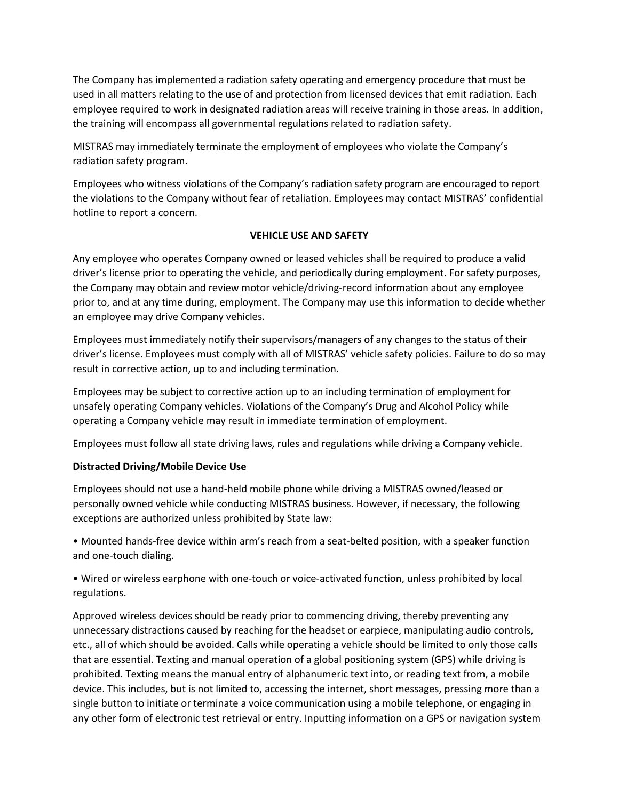The Company has implemented a radiation safety operating and emergency procedure that must be used in all matters relating to the use of and protection from licensed devices that emit radiation. Each employee required to work in designated radiation areas will receive training in those areas. In addition, the training will encompass all governmental regulations related to radiation safety.

MISTRAS may immediately terminate the employment of employees who violate the Company's radiation safety program.

Employees who witness violations of the Company's radiation safety program are encouraged to report the violations to the Company without fear of retaliation. Employees may contact MISTRAS' confidential hotline to report a concern.

# **VEHICLE USE AND SAFETY**

Any employee who operates Company owned or leased vehicles shall be required to produce a valid driver's license prior to operating the vehicle, and periodically during employment. For safety purposes, the Company may obtain and review motor vehicle/driving-record information about any employee prior to, and at any time during, employment. The Company may use this information to decide whether an employee may drive Company vehicles.

Employees must immediately notify their supervisors/managers of any changes to the status of their driver's license. Employees must comply with all of MISTRAS' vehicle safety policies. Failure to do so may result in corrective action, up to and including termination.

Employees may be subject to corrective action up to an including termination of employment for unsafely operating Company vehicles. Violations of the Company's Drug and Alcohol Policy while operating a Company vehicle may result in immediate termination of employment.

Employees must follow all state driving laws, rules and regulations while driving a Company vehicle.

# **Distracted Driving/Mobile Device Use**

Employees should not use a hand-held mobile phone while driving a MISTRAS owned/leased or personally owned vehicle while conducting MISTRAS business. However, if necessary, the following exceptions are authorized unless prohibited by State law:

• Mounted hands-free device within arm's reach from a seat-belted position, with a speaker function and one-touch dialing.

• Wired or wireless earphone with one-touch or voice-activated function, unless prohibited by local regulations.

Approved wireless devices should be ready prior to commencing driving, thereby preventing any unnecessary distractions caused by reaching for the headset or earpiece, manipulating audio controls, etc., all of which should be avoided. Calls while operating a vehicle should be limited to only those calls that are essential. Texting and manual operation of a global positioning system (GPS) while driving is prohibited. Texting means the manual entry of alphanumeric text into, or reading text from, a mobile device. This includes, but is not limited to, accessing the internet, short messages, pressing more than a single button to initiate or terminate a voice communication using a mobile telephone, or engaging in any other form of electronic test retrieval or entry. Inputting information on a GPS or navigation system